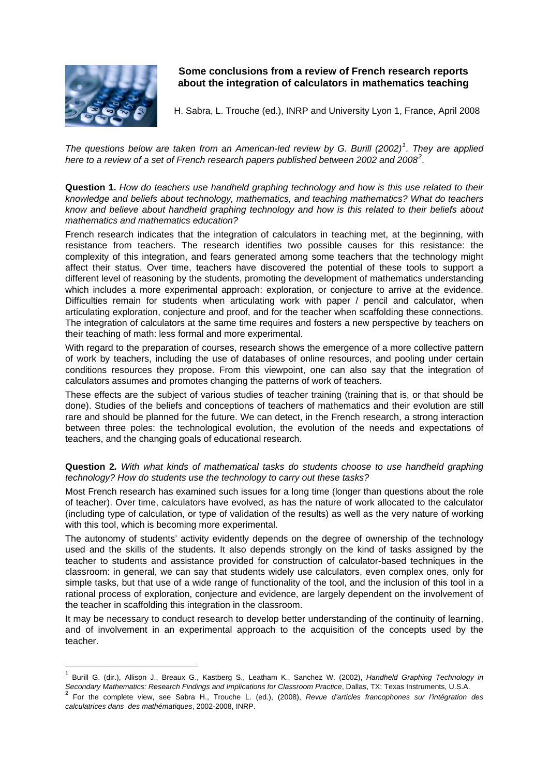

# **Some conclusions from a review of French research reports about the integration of calculators in mathematics teaching**

H. Sabra, L. Trouche (ed.), INRP and University Lyon 1, France, April 2008

*The questions below are taken from an American-led review by G. Burill (2002)[1](#page-0-0) . They are applied here to a review of a set of French research papers published between 2002 and 2008[2](#page-0-1) .* 

**Question 1.** *How do teachers use handheld graphing technology and how is this use related to their knowledge and beliefs about technology, mathematics, and teaching mathematics? What do teachers know and believe about handheld graphing technology and how is this related to their beliefs about mathematics and mathematics education?* 

French research indicates that the integration of calculators in teaching met, at the beginning, with resistance from teachers. The research identifies two possible causes for this resistance: the complexity of this integration, and fears generated among some teachers that the technology might affect their status. Over time, teachers have discovered the potential of these tools to support a different level of reasoning by the students, promoting the development of mathematics understanding which includes a more experimental approach: exploration, or conjecture to arrive at the evidence. Difficulties remain for students when articulating work with paper / pencil and calculator, when articulating exploration, conjecture and proof, and for the teacher when scaffolding these connections. The integration of calculators at the same time requires and fosters a new perspective by teachers on their teaching of math: less formal and more experimental.

With regard to the preparation of courses, research shows the emergence of a more collective pattern of work by teachers, including the use of databases of online resources, and pooling under certain conditions resources they propose. From this viewpoint, one can also say that the integration of calculators assumes and promotes changing the patterns of work of teachers.

These effects are the subject of various studies of teacher training (training that is, or that should be done). Studies of the beliefs and conceptions of teachers of mathematics and their evolution are still rare and should be planned for the future. We can detect, in the French research, a strong interaction between three poles: the technological evolution, the evolution of the needs and expectations of teachers, and the changing goals of educational research.

## **Question 2***. With what kinds of mathematical tasks do students choose to use handheld graphing technology? How do students use the technology to carry out these tasks?*

Most French research has examined such issues for a long time (longer than questions about the role of teacher). Over time, calculators have evolved, as has the nature of work allocated to the calculator (including type of calculation, or type of validation of the results) as well as the very nature of working with this tool, which is becoming more experimental.

The autonomy of students' activity evidently depends on the degree of ownership of the technology used and the skills of the students. It also depends strongly on the kind of tasks assigned by the teacher to students and assistance provided for construction of calculator-based techniques in the classroom: in general, we can say that students widely use calculators, even complex ones, only for simple tasks, but that use of a wide range of functionality of the tool, and the inclusion of this tool in a rational process of exploration, conjecture and evidence, are largely dependent on the involvement of the teacher in scaffolding this integration in the classroom.

It may be necessary to conduct research to develop better understanding of the continuity of learning, and of involvement in an experimental approach to the acquisition of the concepts used by the teacher.

<span id="page-0-0"></span><sup>1</sup> Burill G. (dir.), Allison J., Breaux G., Kastberg S., Leatham K., Sanchez W. (2002), *Handheld Graphing Technology in*  Secondary Mathematics: Research Findings and Implications for Classroom Practice, Dallas, TX: Texas Instruments, U.S.A.<br><sup>2</sup> For the complete view, see Sabra H., Trouche L. (ed.), (2008), Revue d'articles francophones sur l

<span id="page-0-1"></span>*calculatrices dans des mathématiques*, 2002-2008, INRP.